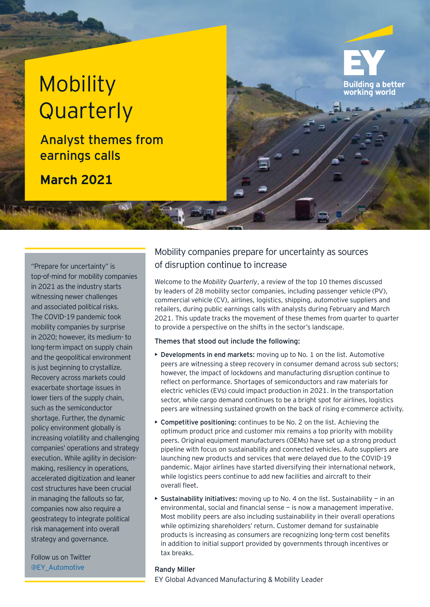# **Mobility Quarterly**

Analyst themes from earnings calls

**March 2021**

top-of-mind for mobility companies in 2021 as the industry starts witnessing newer challenges and associated political risks. The COVID-19 pandemic took mobility companies by surprise in 2020; however, its medium- to long-term impact on supply chain and the geopolitical environment is just beginning to crystallize. Recovery across markets could exacerbate shortage issues in lower tiers of the supply chain, such as the semiconductor shortage. Further, the dynamic policy environment globally is increasing volatility and challenging companies' operations and strategy execution. While agility in decisionmaking, resiliency in operations, accelerated digitization and leaner cost structures have been crucial in managing the fallouts so far, companies now also require a geostrategy to integrate political risk management into overall strategy and governance.

Follow us on Twitter @EY\_Automotive Randy Miller

# Mobility companies prepare for uncertainty as sources "Prepare for uncertainty" is of disruption continue to increase

Welcome to the *Mobility Quarterly*, a review of the top 10 themes discussed by leaders of 28 mobility sector companies, including passenger vehicle (PV), commercial vehicle (CV), airlines, logistics, shipping, automotive suppliers and retailers, during public earnings calls with analysts during February and March 2021. This update tracks the movement of these themes from quarter to quarter to provide a perspective on the shifts in the sector's landscape.

**Building a better** working world

### Themes that stood out include the following:

- Developments in end markets: moving up to No. 1 on the list. Automotive peers are witnessing a steep recovery in consumer demand across sub sectors; however, the impact of lockdowns and manufacturing disruption continue to reflect on performance. Shortages of semiconductors and raw materials for electric vehicles (EVs) could impact production in 2021. In the transportation sector, while cargo demand continues to be a bright spot for airlines, logistics peers are witnessing sustained growth on the back of rising e-commerce activity.
- Competitive positioning: continues to be No. 2 on the list. Achieving the optimum product price and customer mix remains a top priority with mobility peers. Original equipment manufacturers (OEMs) have set up a strong product pipeline with focus on sustainability and connected vehicles. Auto suppliers are launching new products and services that were delayed due to the COVID-19 pandemic. Major airlines have started diversifying their international network, while logistics peers continue to add new facilities and aircraft to their overall fleet.
- $\triangleright$  Sustainability initiatives: moving up to No. 4 on the list. Sustainability in an environmental, social and financial sense — is now a management imperative. Most mobility peers are also including sustainability in their overall operations while optimizing shareholders' return. Customer demand for sustainable products is increasing as consumers are recognizing long-term cost benefits in addition to initial support provided by governments through incentives or tax breaks.

EY Global Advanced Manufacturing & Mobility Leader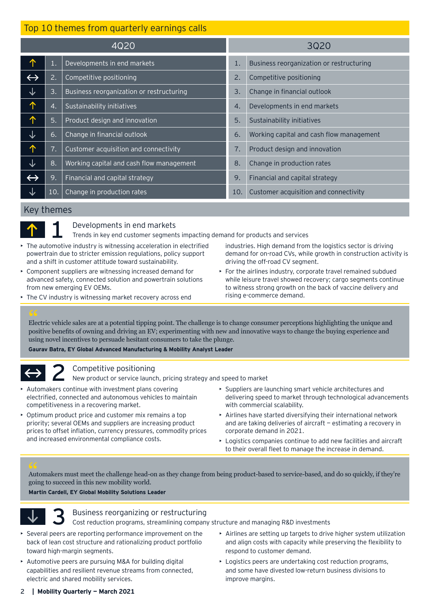| Top 10 themes from quarterly earnings calls |     |                                          |      |                                          |
|---------------------------------------------|-----|------------------------------------------|------|------------------------------------------|
| 4Q20                                        |     |                                          | 3020 |                                          |
| 个                                           | 1.  | Developments in end markets              | 1.   | Business reorganization or restructuring |
| $\leftrightarrow$                           | 2.  | Competitive positioning                  | 2.   | Competitive positioning                  |
| ↓                                           | 3.  | Business reorganization or restructuring | 3.   | Change in financial outlook              |
| 个                                           | 4.  | Sustainability initiatives               | 4.   | Developments in end markets              |
| 个                                           | 5.  | Product design and innovation            | 5.   | Sustainability initiatives               |
| ↓                                           | 6.  | Change in financial outlook              | 6.   | Working capital and cash flow management |
| 个                                           | 7.  | Customer acquisition and connectivity    | 7.   | Product design and innovation            |
| ↓                                           | 8.  | Working capital and cash flow management | 8.   | Change in production rates               |
| $\leftrightarrow$                           | 9.  | Financial and capital strategy           | 9.   | Financial and capital strategy           |
|                                             | 10. | Change in production rates               | 10.  | Customer acquisition and connectivity    |

### Key themes



Developments in end markets

- Trends in key end customer segments impacting demand for products and services
- The automotive industry is witnessing acceleration in electrified powertrain due to stricter emission regulations, policy support and a shift in customer attitude toward sustainability.
- Component suppliers are witnessing increased demand for advanced safety, connected solution and powertrain solutions from new emerging EV OEMs.
- The CV industry is witnessing market recovery across end
- industries. High demand from the logistics sector is driving demand for on-road CVs, while growth in construction activity is driving the off-road CV segment.
- For the airlines industry, corporate travel remained subdued while leisure travel showed recovery; cargo segments continue to witness strong growth on the back of vaccine delivery and rising e-commerce demand.

Electric vehicle sales are at a potential tipping point. The challenge is to change consumer perceptions highlighting the unique and positive benefits of owning and driving an EV; experimenting with new and innovative ways to change the buying experience and using novel incentives to persuade hesitant consumers to take the plunge. 66<br>Elee<br>pos

**Gaurav Batra, EY Global Advanced Manufacturing & Mobility Analyst Leader**

### Competitive positioning

New product or service launch, pricing strategy and speed to market

- Automakers continue with investment plans covering electrified, connected and autonomous vehicles to maintain competitiveness in a recovering market.
- Optimum product price and customer mix remains a top priority; several OEMs and suppliers are increasing product prices to offset inflation, currency pressures, commodity prices and increased environmental compliance costs.
- Suppliers are launching smart vehicle architectures and delivering speed to market through technological advancements with commercial scalability.
- Airlines have started diversifying their international network and are taking deliveries of aircraft — estimating a recovery in corporate demand in 2021.
- Logistics companies continue to add new facilities and aircraft to their overall fleet to manage the increase in demand.

Automakers must meet the challenge head-on as they change from being product-based to service-based, and do so quickly, if they're going to succeed in this new mobility world. 66<br>Aut<br>goil

**Martin Cardell, EY Global Mobility Solutions Leader**



Business reorganizing or restructuring

Cost reduction programs, streamlining company structure and managing R&D investments

- Several peers are reporting performance improvement on the back of lean cost structure and rationalizing product portfolio toward high-margin segments.
- Automotive peers are pursuing M&A for building digital capabilities and resilient revenue streams from connected, electric and shared mobility services.
- Airlines are setting up targets to drive higher system utilization and align costs with capacity while preserving the flexibility to respond to customer demand.
- Logistics peers are undertaking cost reduction programs, and some have divested low-return business divisions to improve margins.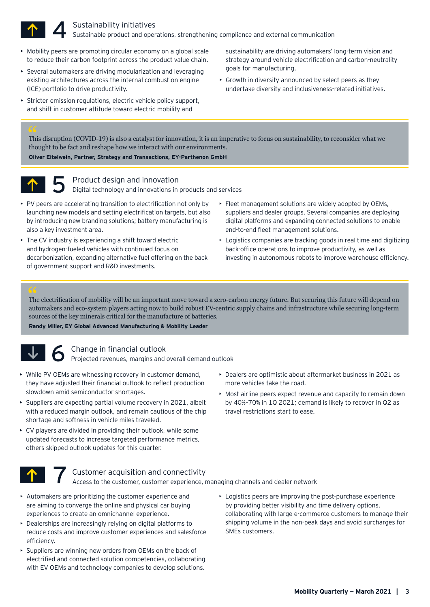

#### Sustainability initiatives Sustainable product and operations, strengthening compliance and external communication

- Mobility peers are promoting circular economy on a global scale to reduce their carbon footprint across the product value chain.
- Several automakers are driving modularization and leveraging existing architectures across the internal combustion engine (ICE) portfolio to drive productivity.
- Stricter emission regulations, electric vehicle policy support, and shift in customer attitude toward electric mobility and

sustainability are driving automakers' long-term vision and strategy around vehicle electrification and carbon-neutrality goals for manufacturing.

• Growth in diversity announced by select peers as they undertake diversity and inclusiveness-related initiatives.

This disruption (COVID-19) is also a catalyst for innovation, it is an imperative to focus on sustainability, to reconsider what we thought to be fact and reshape how we interact with our environments. **Oliver Eitelwein, Partner, Strategy and Transactions, EY-Parthenon GmbH** 66<br>Thi<br>tho



#### Product design and innovation

Digital technology and innovations in products and services

- PV peers are accelerating transition to electrification not only by launching new models and setting electrification targets, but also by introducing new branding solutions; battery manufacturing is also a key investment area.
- The CV industry is experiencing a shift toward electric and hydrogen-fueled vehicles with continued focus on decarbonization, expanding alternative fuel offering on the back of government support and R&D investments.
- Fleet management solutions are widely adopted by OEMs, suppliers and dealer groups. Several companies are deploying digital platforms and expanding connected solutions to enable end-to-end fleet management solutions.
- Logistics companies are tracking goods in real time and digitizing back-office operations to improve productivity, as well as investing in autonomous robots to improve warehouse efficiency.

The electrification of mobility will be an important move toward a zero-carbon energy future. But securing this future will depend on automakers and eco-system players acting now to build robust EV-centric supply chains and infrastructure while securing long-term sources of the key minerals critical for the manufacture of batteries. 66<br>The<br>aut

#### **Randy Miller, EY Global Advanced Manufacturing & Mobility Leader**



### Change in financial outlook

Projected revenues, margins and overall demand outlook

- While PV OEMs are witnessing recovery in customer demand, they have adjusted their financial outlook to reflect production slowdown amid semiconductor shortages.
- Suppliers are expecting partial volume recovery in 2021, albeit with a reduced margin outlook, and remain cautious of the chip shortage and softness in vehicle miles traveled.
- CV players are divided in providing their outlook, while some updated forecasts to increase targeted performance metrics, others skipped outlook updates for this quarter.
- Dealers are optimistic about aftermarket business in 2021 as more vehicles take the road.
- Most airline peers expect revenue and capacity to remain down by 40%–70% in 1Q 2021; demand is likely to recover in Q2 as travel restrictions start to ease.



### Customer acquisition and connectivity

Access to the customer, customer experience, managing channels and dealer network

- Automakers are prioritizing the customer experience and are aiming to converge the online and physical car buying experiences to create an omnichannel experience.
- Dealerships are increasingly relying on digital platforms to reduce costs and improve customer experiences and salesforce efficiency.
- Suppliers are winning new orders from OEMs on the back of electrified and connected solution competencies, collaborating with EV OEMs and technology companies to develop solutions.
- Logistics peers are improving the post-purchase experience by providing better visibility and time delivery options, collaborating with large e-commerce customers to manage their shipping volume in the non-peak days and avoid surcharges for SMEs customers.